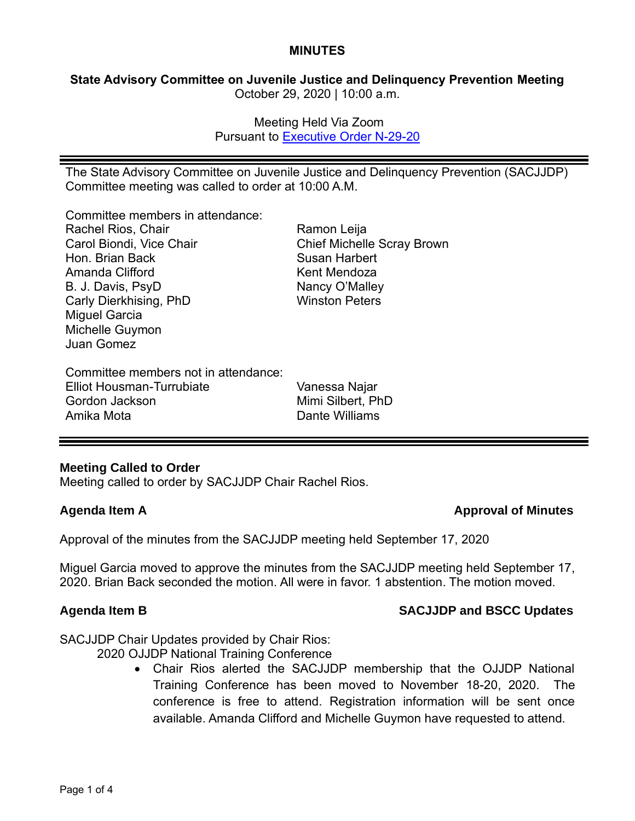#### **MINUTES**

**State Advisory Committee on Juvenile Justice and Delinquency Prevention Meeting** October 29, 2020 | 10:00 a.m.

> Meeting Held Via Zoom Pursuant to [Executive Order N-29-20](https://www.gov.ca.gov/wp-content/uploads/2020/03/3.17.20-N-29-20-EO.pdf)

The State Advisory Committee on Juvenile Justice and Delinquency Prevention (SACJJDP) Committee meeting was called to order at 10:00 A.M.

Committee members in attendance:

Rachel Rios, Chair Carol Biondi, Vice Chair Hon. Brian Back Amanda Clifford B. J. Davis, PsyD Carly Dierkhising, PhD Miguel Garcia Michelle Guymon Juan Gomez

Committee members not in attendance: Elliot Housman-Turrubiate Gordon Jackson Amika Mota

Ramon Leija Chief Michelle Scray Brown Susan Harbert Kent Mendoza Nancy O'Malley Winston Peters

Vanessa Najar Mimi Silbert, PhD Dante Williams

### **Meeting Called to Order**

Meeting called to order by SACJJDP Chair Rachel Rios.

### **Agenda Item A Approval of Minutes**

Approval of the minutes from the SACJJDP meeting held September 17, 2020

Miguel Garcia moved to approve the minutes from the SACJJDP meeting held September 17, 2020. Brian Back seconded the motion. All were in favor. 1 abstention. The motion moved.

### **Agenda Item B SACJJDP and BSCC Updates**

SACJJDP Chair Updates provided by Chair Rios:

2020 OJJDP National Training Conference

• Chair Rios alerted the SACJJDP membership that the OJJDP National Training Conference has been moved to November 18-20, 2020. The conference is free to attend. Registration information will be sent once available. Amanda Clifford and Michelle Guymon have requested to attend.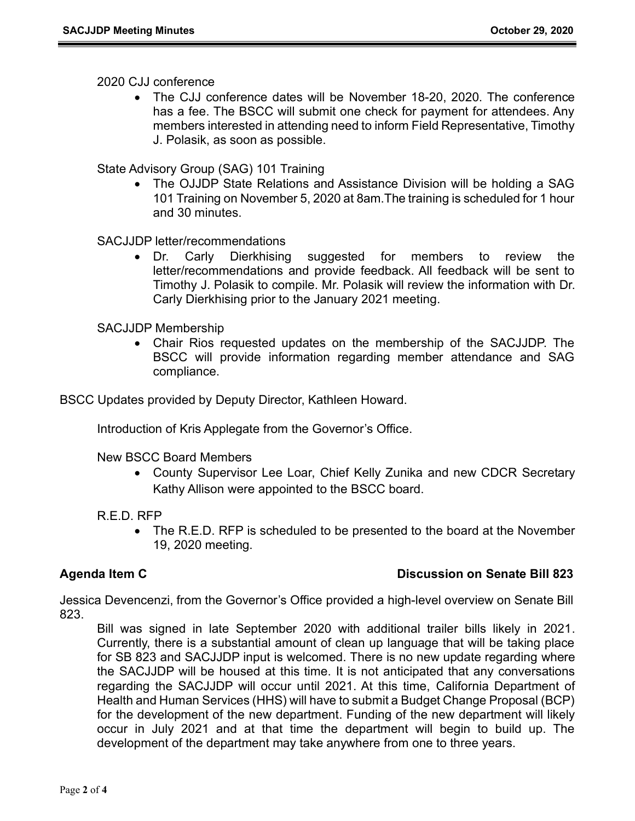### 2020 CJJ conference

• The CJJ conference dates will be November 18-20, 2020. The conference has a fee. The BSCC will submit one check for payment for attendees. Any members interested in attending need to inform Field Representative, Timothy J. Polasik, as soon as possible.

State Advisory Group (SAG) 101 Training

• The OJJDP State Relations and Assistance Division will be holding a SAG 101 Training on November 5, 2020 at 8am.The training is scheduled for 1 hour and 30 minutes.

## SACJJDP letter/recommendations

• Dr. Carly Dierkhising suggested for members to review the letter/recommendations and provide feedback. All feedback will be sent to Timothy J. Polasik to compile. Mr. Polasik will review the information with Dr. Carly Dierkhising prior to the January 2021 meeting.

### SACJJDP Membership

• Chair Rios requested updates on the membership of the SACJJDP. The BSCC will provide information regarding member attendance and SAG compliance.

BSCC Updates provided by Deputy Director, Kathleen Howard.

Introduction of Kris Applegate from the Governor's Office.

New BSCC Board Members

• County Supervisor Lee Loar, Chief Kelly Zunika and new CDCR Secretary Kathy Allison were appointed to the BSCC board.

### R.E.D. RFP

• The R.E.D. RFP is scheduled to be presented to the board at the November 19, 2020 meeting.

### **Agenda Item C Discussion on Senate Bill 823**

Jessica Devencenzi, from the Governor's Office provided a high-level overview on Senate Bill 823.

Bill was signed in late September 2020 with additional trailer bills likely in 2021. Currently, there is a substantial amount of clean up language that will be taking place for SB 823 and SACJJDP input is welcomed. There is no new update regarding where the SACJJDP will be housed at this time. It is not anticipated that any conversations regarding the SACJJDP will occur until 2021. At this time, California Department of Health and Human Services (HHS) will have to submit a Budget Change Proposal (BCP) for the development of the new department. Funding of the new department will likely occur in July 2021 and at that time the department will begin to build up. The development of the department may take anywhere from one to three years.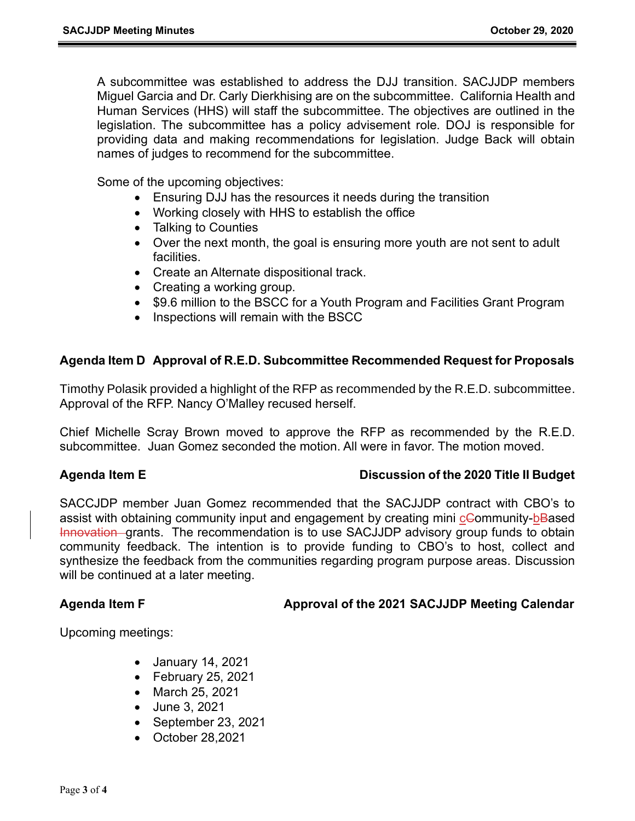A subcommittee was established to address the DJJ transition. SACJJDP members Miguel Garcia and Dr. Carly Dierkhising are on the subcommittee. California Health and Human Services (HHS) will staff the subcommittee. The objectives are outlined in the legislation. The subcommittee has a policy advisement role. DOJ is responsible for providing data and making recommendations for legislation. Judge Back will obtain names of judges to recommend for the subcommittee.

Some of the upcoming objectives:

- Ensuring DJJ has the resources it needs during the transition
- Working closely with HHS to establish the office
- Talking to Counties
- Over the next month, the goal is ensuring more youth are not sent to adult facilities.
- Create an Alternate dispositional track.
- Creating a working group.
- \$9.6 million to the BSCC for a Youth Program and Facilities Grant Program
- Inspections will remain with the BSCC

## **Agenda Item D Approval of R.E.D. Subcommittee Recommended Request for Proposals**

Timothy Polasik provided a highlight of the RFP as recommended by the R.E.D. subcommittee. Approval of the RFP. Nancy O'Malley recused herself.

Chief Michelle Scray Brown moved to approve the RFP as recommended by the R.E.D. subcommittee. Juan Gomez seconded the motion. All were in favor. The motion moved.

### **Agenda Item E Discussion of the 2020 Title II Budget**

SACCJDP member Juan Gomez recommended that the SACJJDP contract with CBO's to assist with obtaining community input and engagement by creating mini cCommunity-bBased Innovation grants. The recommendation is to use SACJJDP advisory group funds to obtain community feedback. The intention is to provide funding to CBO's to host, collect and synthesize the feedback from the communities regarding program purpose areas. Discussion will be continued at a later meeting.

## Agenda Item F **All Approval of the 2021 SACJJDP Meeting Calendar**

Upcoming meetings:

- January 14, 2021
- February 25, 2021
- March 25, 2021
- June 3, 2021
- September 23, 2021
- October 28,2021